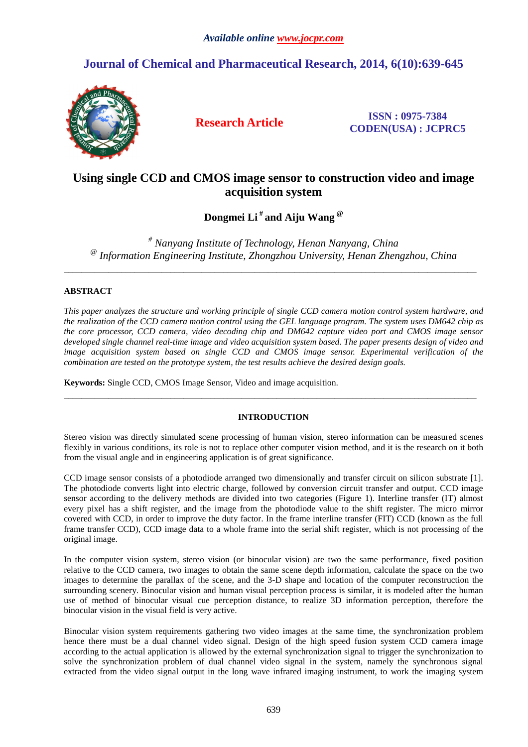# **Journal of Chemical and Pharmaceutical Research, 2014, 6(10):639-645**



**Research Article ISSN : 0975-7384 CODEN(USA) : JCPRC5**

## **Using single CCD and CMOS image sensor to construction video and image acquisition system**

**Dongmei Li # and Aiju Wang @** 

*# Nanyang Institute of Technology, Henan Nanyang, China @ Information Engineering Institute, Zhongzhou University, Henan Zhengzhou, China* 

\_\_\_\_\_\_\_\_\_\_\_\_\_\_\_\_\_\_\_\_\_\_\_\_\_\_\_\_\_\_\_\_\_\_\_\_\_\_\_\_\_\_\_\_\_\_\_\_\_\_\_\_\_\_\_\_\_\_\_\_\_\_\_\_\_\_\_\_\_\_\_\_\_\_\_\_\_\_\_\_\_\_\_\_\_\_\_\_\_\_\_\_\_

### **ABSTRACT**

*This paper analyzes the structure and working principle of single CCD camera motion control system hardware, and the realization of the CCD camera motion control using the GEL language program. The system uses DM642 chip as the core processor, CCD camera, video decoding chip and DM642 capture video port and CMOS image sensor developed single channel real-time image and video acquisition system based. The paper presents design of video and image acquisition system based on single CCD and CMOS image sensor. Experimental verification of the combination are tested on the prototype system, the test results achieve the desired design goals.* 

**Keywords:** Single CCD, CMOS Image Sensor, Video and image acquisition.

## **INTRODUCTION**

\_\_\_\_\_\_\_\_\_\_\_\_\_\_\_\_\_\_\_\_\_\_\_\_\_\_\_\_\_\_\_\_\_\_\_\_\_\_\_\_\_\_\_\_\_\_\_\_\_\_\_\_\_\_\_\_\_\_\_\_\_\_\_\_\_\_\_\_\_\_\_\_\_\_\_\_\_\_\_\_\_\_\_\_\_\_\_\_\_\_\_\_\_

Stereo vision was directly simulated scene processing of human vision, stereo information can be measured scenes flexibly in various conditions, its role is not to replace other computer vision method, and it is the research on it both from the visual angle and in engineering application is of great significance.

CCD image sensor consists of a photodiode arranged two dimensionally and transfer circuit on silicon substrate [1]. The photodiode converts light into electric charge, followed by conversion circuit transfer and output. CCD image sensor according to the delivery methods are divided into two categories (Figure 1). Interline transfer (IT) almost every pixel has a shift register, and the image from the photodiode value to the shift register. The micro mirror covered with CCD, in order to improve the duty factor. In the frame interline transfer (FIT) CCD (known as the full frame transfer CCD), CCD image data to a whole frame into the serial shift register, which is not processing of the original image.

In the computer vision system, stereo vision (or binocular vision) are two the same performance, fixed position relative to the CCD camera, two images to obtain the same scene depth information, calculate the space on the two images to determine the parallax of the scene, and the 3-D shape and location of the computer reconstruction the surrounding scenery. Binocular vision and human visual perception process is similar, it is modeled after the human use of method of binocular visual cue perception distance, to realize 3D information perception, therefore the binocular vision in the visual field is very active.

Binocular vision system requirements gathering two video images at the same time, the synchronization problem hence there must be a dual channel video signal. Design of the high speed fusion system CCD camera image according to the actual application is allowed by the external synchronization signal to trigger the synchronization to solve the synchronization problem of dual channel video signal in the system, namely the synchronous signal extracted from the video signal output in the long wave infrared imaging instrument, to work the imaging system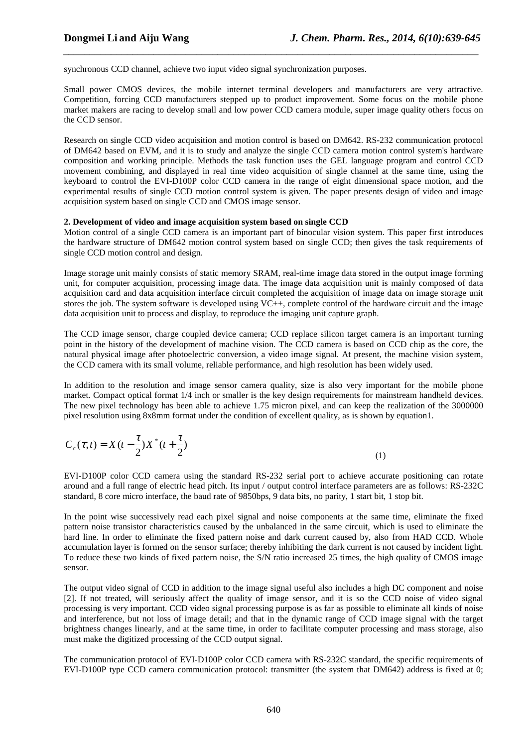synchronous CCD channel, achieve two input video signal synchronization purposes.

Small power CMOS devices, the mobile internet terminal developers and manufacturers are very attractive. Competition, forcing CCD manufacturers stepped up to product improvement. Some focus on the mobile phone market makers are racing to develop small and low power CCD camera module, super image quality others focus on the CCD sensor.

*\_\_\_\_\_\_\_\_\_\_\_\_\_\_\_\_\_\_\_\_\_\_\_\_\_\_\_\_\_\_\_\_\_\_\_\_\_\_\_\_\_\_\_\_\_\_\_\_\_\_\_\_\_\_\_\_\_\_\_\_\_\_\_\_\_\_\_\_\_\_\_\_\_\_\_\_\_\_*

Research on single CCD video acquisition and motion control is based on DM642. RS-232 communication protocol of DM642 based on EVM, and it is to study and analyze the single CCD camera motion control system's hardware composition and working principle. Methods the task function uses the GEL language program and control CCD movement combining, and displayed in real time video acquisition of single channel at the same time, using the keyboard to control the EVI-D100P color CCD camera in the range of eight dimensional space motion, and the experimental results of single CCD motion control system is given. The paper presents design of video and image acquisition system based on single CCD and CMOS image sensor.

#### **2. Development of video and image acquisition system based on single CCD**

Motion control of a single CCD camera is an important part of binocular vision system. This paper first introduces the hardware structure of DM642 motion control system based on single CCD; then gives the task requirements of single CCD motion control and design.

Image storage unit mainly consists of static memory SRAM, real-time image data stored in the output image forming unit, for computer acquisition, processing image data. The image data acquisition unit is mainly composed of data acquisition card and data acquisition interface circuit completed the acquisition of image data on image storage unit stores the job. The system software is developed using  $VC++$ , complete control of the hardware circuit and the image data acquisition unit to process and display, to reproduce the imaging unit capture graph.

The CCD image sensor, charge coupled device camera; CCD replace silicon target camera is an important turning point in the history of the development of machine vision. The CCD camera is based on CCD chip as the core, the natural physical image after photoelectric conversion, a video image signal. At present, the machine vision system, the CCD camera with its small volume, reliable performance, and high resolution has been widely used.

In addition to the resolution and image sensor camera quality, size is also very important for the mobile phone market. Compact optical format 1/4 inch or smaller is the key design requirements for mainstream handheld devices. The new pixel technology has been able to achieve 1.75 micron pixel, and can keep the realization of the 3000000 pixel resolution using 8x8mm format under the condition of excellent quality, as is shown by equation1.

$$
C_c(\tau, t) = X(t - \frac{\tau}{2})X^*(t + \frac{\tau}{2})
$$
\n<sup>(1)</sup>

EVI-D100P color CCD camera using the standard RS-232 serial port to achieve accurate positioning can rotate around and a full range of electric head pitch. Its input / output control interface parameters are as follows: RS-232C standard, 8 core micro interface, the baud rate of 9850bps, 9 data bits, no parity, 1 start bit, 1 stop bit.

In the point wise successively read each pixel signal and noise components at the same time, eliminate the fixed pattern noise transistor characteristics caused by the unbalanced in the same circuit, which is used to eliminate the hard line. In order to eliminate the fixed pattern noise and dark current caused by, also from HAD CCD. Whole accumulation layer is formed on the sensor surface; thereby inhibiting the dark current is not caused by incident light. To reduce these two kinds of fixed pattern noise, the S/N ratio increased 25 times, the high quality of CMOS image sensor.

The output video signal of CCD in addition to the image signal useful also includes a high DC component and noise [2]. If not treated, will seriously affect the quality of image sensor, and it is so the CCD noise of video signal processing is very important. CCD video signal processing purpose is as far as possible to eliminate all kinds of noise and interference, but not loss of image detail; and that in the dynamic range of CCD image signal with the target brightness changes linearly, and at the same time, in order to facilitate computer processing and mass storage, also must make the digitized processing of the CCD output signal.

The communication protocol of EVI-D100P color CCD camera with RS-232C standard, the specific requirements of EVI-D100P type CCD camera communication protocol: transmitter (the system that DM642) address is fixed at 0;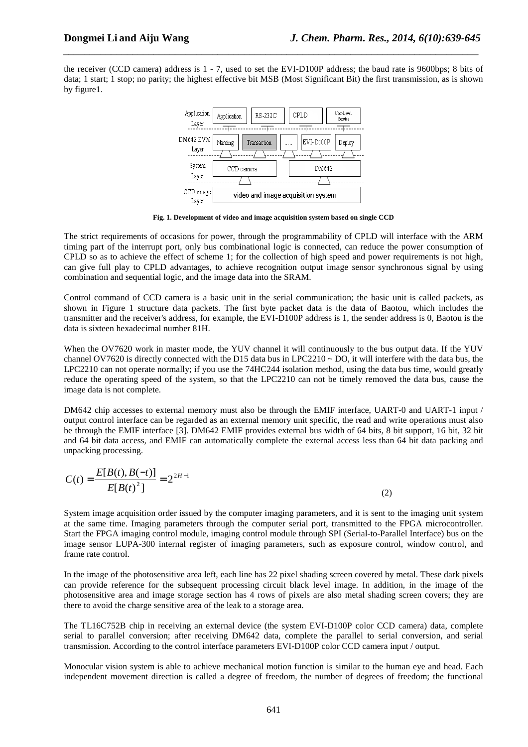the receiver (CCD camera) address is 1 - 7, used to set the EVI-D100P address; the baud rate is 9600bps; 8 bits of data; 1 start; 1 stop; no parity; the highest effective bit MSB (Most Significant Bit) the first transmission, as is shown by figure1.

*\_\_\_\_\_\_\_\_\_\_\_\_\_\_\_\_\_\_\_\_\_\_\_\_\_\_\_\_\_\_\_\_\_\_\_\_\_\_\_\_\_\_\_\_\_\_\_\_\_\_\_\_\_\_\_\_\_\_\_\_\_\_\_\_\_\_\_\_\_\_\_\_\_\_\_\_\_\_*



**Fig. 1. Development of video and image acquisition system based on single CCD** 

The strict requirements of occasions for power, through the programmability of CPLD will interface with the ARM timing part of the interrupt port, only bus combinational logic is connected, can reduce the power consumption of CPLD so as to achieve the effect of scheme 1; for the collection of high speed and power requirements is not high, can give full play to CPLD advantages, to achieve recognition output image sensor synchronous signal by using combination and sequential logic, and the image data into the SRAM.

Control command of CCD camera is a basic unit in the serial communication; the basic unit is called packets, as shown in Figure 1 structure data packets. The first byte packet data is the data of Baotou, which includes the transmitter and the receiver's address, for example, the EVI-D100P address is 1, the sender address is 0, Baotou is the data is sixteen hexadecimal number 81H.

When the OV7620 work in master mode, the YUV channel it will continuously to the bus output data. If the YUV channel OV7620 is directly connected with the D15 data bus in LPC2210  $\sim$  DO, it will interfere with the data bus, the LPC2210 can not operate normally; if you use the 74HC244 isolation method, using the data bus time, would greatly reduce the operating speed of the system, so that the LPC2210 can not be timely removed the data bus, cause the image data is not complete.

DM642 chip accesses to external memory must also be through the EMIF interface, UART-0 and UART-1 input / output control interface can be regarded as an external memory unit specific, the read and write operations must also be through the EMIF interface [3]. DM642 EMIF provides external bus width of 64 bits, 8 bit support, 16 bit, 32 bit and 64 bit data access, and EMIF can automatically complete the external access less than 64 bit data packing and unpacking processing.

$$
C(t) = \frac{E[B(t), B(-t)]}{E[B(t)^{2}]} = 2^{2H-1}
$$
\n(2)

System image acquisition order issued by the computer imaging parameters, and it is sent to the imaging unit system at the same time. Imaging parameters through the computer serial port, transmitted to the FPGA microcontroller. Start the FPGA imaging control module, imaging control module through SPI (Serial-to-Parallel Interface) bus on the image sensor LUPA-300 internal register of imaging parameters, such as exposure control, window control, and frame rate control.

In the image of the photosensitive area left, each line has 22 pixel shading screen covered by metal. These dark pixels can provide reference for the subsequent processing circuit black level image. In addition, in the image of the photosensitive area and image storage section has 4 rows of pixels are also metal shading screen covers; they are there to avoid the charge sensitive area of the leak to a storage area.

The TL16C752B chip in receiving an external device (the system EVI-D100P color CCD camera) data, complete serial to parallel conversion; after receiving DM642 data, complete the parallel to serial conversion, and serial transmission. According to the control interface parameters EVI-D100P color CCD camera input / output.

Monocular vision system is able to achieve mechanical motion function is similar to the human eye and head. Each independent movement direction is called a degree of freedom, the number of degrees of freedom; the functional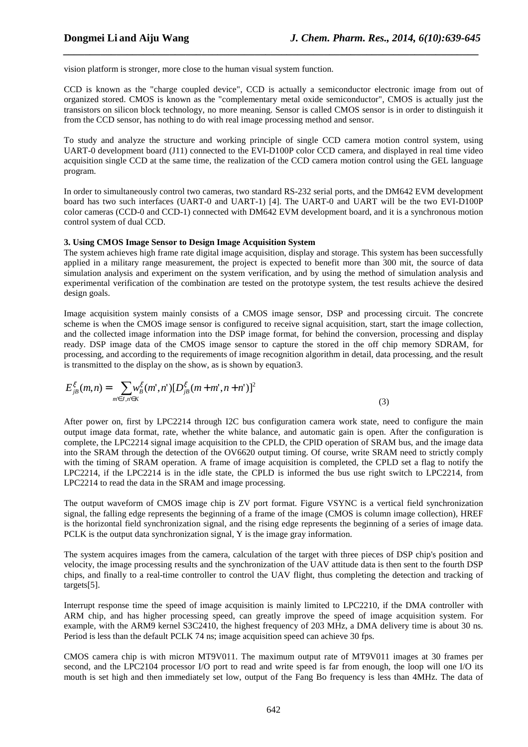vision platform is stronger, more close to the human visual system function.

CCD is known as the "charge coupled device", CCD is actually a semiconductor electronic image from out of organized stored. CMOS is known as the "complementary metal oxide semiconductor", CMOS is actually just the transistors on silicon block technology, no more meaning. Sensor is called CMOS sensor is in order to distinguish it from the CCD sensor, has nothing to do with real image processing method and sensor.

*\_\_\_\_\_\_\_\_\_\_\_\_\_\_\_\_\_\_\_\_\_\_\_\_\_\_\_\_\_\_\_\_\_\_\_\_\_\_\_\_\_\_\_\_\_\_\_\_\_\_\_\_\_\_\_\_\_\_\_\_\_\_\_\_\_\_\_\_\_\_\_\_\_\_\_\_\_\_*

To study and analyze the structure and working principle of single CCD camera motion control system, using UART-0 development board (J11) connected to the EVI-D100P color CCD camera, and displayed in real time video acquisition single CCD at the same time, the realization of the CCD camera motion control using the GEL language program.

In order to simultaneously control two cameras, two standard RS-232 serial ports, and the DM642 EVM development board has two such interfaces (UART-0 and UART-1) [4]. The UART-0 and UART will be the two EVI-D100P color cameras (CCD-0 and CCD-1) connected with DM642 EVM development board, and it is a synchronous motion control system of dual CCD.

#### **3. Using CMOS Image Sensor to Design Image Acquisition System**

The system achieves high frame rate digital image acquisition, display and storage. This system has been successfully applied in a military range measurement, the project is expected to benefit more than 300 mit, the source of data simulation analysis and experiment on the system verification, and by using the method of simulation analysis and experimental verification of the combination are tested on the prototype system, the test results achieve the desired design goals.

Image acquisition system mainly consists of a CMOS image sensor, DSP and processing circuit. The concrete scheme is when the CMOS image sensor is configured to receive signal acquisition, start, start the image collection, and the collected image information into the DSP image format, for behind the conversion, processing and display ready. DSP image data of the CMOS image sensor to capture the stored in the off chip memory SDRAM, for processing, and according to the requirements of image recognition algorithm in detail, data processing, and the result is transmitted to the display on the show, as is shown by equation3.

$$
E_{jB}^{\xi}(m,n) = \sum_{m \in J, n \in K} w_B^{\xi}(m',n') [D_{jB}^{\xi}(m+m',n+n')]^2
$$
\n(3)

After power on, first by LPC2214 through I2C bus configuration camera work state, need to configure the main output image data format, rate, whether the white balance, and automatic gain is open. After the configuration is complete, the LPC2214 signal image acquisition to the CPLD, the CPlD operation of SRAM bus, and the image data into the SRAM through the detection of the OV6620 output timing. Of course, write SRAM need to strictly comply with the timing of SRAM operation. A frame of image acquisition is completed, the CPLD set a flag to notify the LPC2214, if the LPC2214 is in the idle state, the CPLD is informed the bus use right switch to LPC2214, from LPC2214 to read the data in the SRAM and image processing.

The output waveform of CMOS image chip is ZV port format. Figure VSYNC is a vertical field synchronization signal, the falling edge represents the beginning of a frame of the image (CMOS is column image collection), HREF is the horizontal field synchronization signal, and the rising edge represents the beginning of a series of image data. PCLK is the output data synchronization signal, Y is the image gray information.

The system acquires images from the camera, calculation of the target with three pieces of DSP chip's position and velocity, the image processing results and the synchronization of the UAV attitude data is then sent to the fourth DSP chips, and finally to a real-time controller to control the UAV flight, thus completing the detection and tracking of targets[5].

Interrupt response time the speed of image acquisition is mainly limited to LPC2210, if the DMA controller with ARM chip, and has higher processing speed, can greatly improve the speed of image acquisition system. For example, with the ARM9 kernel S3C2410, the highest frequency of 203 MHz, a DMA delivery time is about 30 ns. Period is less than the default PCLK 74 ns; image acquisition speed can achieve 30 fps.

CMOS camera chip is with micron MT9V011. The maximum output rate of MT9V011 images at 30 frames per second, and the LPC2104 processor I/O port to read and write speed is far from enough, the loop will one I/O its mouth is set high and then immediately set low, output of the Fang Bo frequency is less than 4MHz. The data of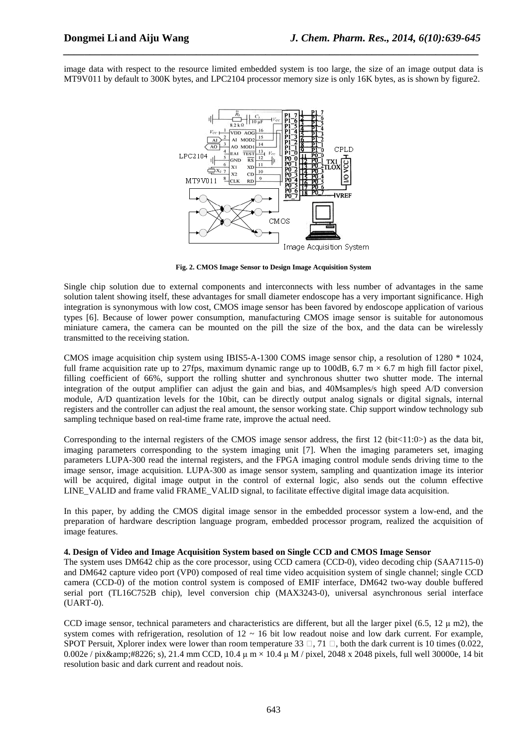image data with respect to the resource limited embedded system is too large, the size of an image output data is MT9V011 by default to 300K bytes, and LPC2104 processor memory size is only 16K bytes, as is shown by figure2.

*\_\_\_\_\_\_\_\_\_\_\_\_\_\_\_\_\_\_\_\_\_\_\_\_\_\_\_\_\_\_\_\_\_\_\_\_\_\_\_\_\_\_\_\_\_\_\_\_\_\_\_\_\_\_\_\_\_\_\_\_\_\_\_\_\_\_\_\_\_\_\_\_\_\_\_\_\_\_*



**Fig. 2. CMOS Image Sensor to Design Image Acquisition System** 

Single chip solution due to external components and interconnects with less number of advantages in the same solution talent showing itself, these advantages for small diameter endoscope has a very important significance. High integration is synonymous with low cost, CMOS image sensor has been favored by endoscope application of various types [6]. Because of lower power consumption, manufacturing CMOS image sensor is suitable for autonomous miniature camera, the camera can be mounted on the pill the size of the box, and the data can be wirelessly transmitted to the receiving station.

CMOS image acquisition chip system using IBIS5-A-1300 COMS image sensor chip, a resolution of 1280 \* 1024, full frame acquisition rate up to 27fps, maximum dynamic range up to 100dB, 6.7 m  $\times$  6.7 m high fill factor pixel, filling coefficient of 66%, support the rolling shutter and synchronous shutter two shutter mode. The internal integration of the output amplifier can adjust the gain and bias, and 40Msamples/s high speed A/D conversion module, A/D quantization levels for the 10bit, can be directly output analog signals or digital signals, internal registers and the controller can adjust the real amount, the sensor working state. Chip support window technology sub sampling technique based on real-time frame rate, improve the actual need.

Corresponding to the internal registers of the CMOS image sensor address, the first  $12$  (bit $\lt 11:0$ ) as the data bit, imaging parameters corresponding to the system imaging unit [7]. When the imaging parameters set, imaging parameters LUPA-300 read the internal registers, and the FPGA imaging control module sends driving time to the image sensor, image acquisition. LUPA-300 as image sensor system, sampling and quantization image its interior will be acquired, digital image output in the control of external logic, also sends out the column effective LINE\_VALID and frame valid FRAME\_VALID signal, to facilitate effective digital image data acquisition.

In this paper, by adding the CMOS digital image sensor in the embedded processor system a low-end, and the preparation of hardware description language program, embedded processor program, realized the acquisition of image features.

#### **4. Design of Video and Image Acquisition System based on Single CCD and CMOS Image Sensor**

The system uses DM642 chip as the core processor, using CCD camera (CCD-0), video decoding chip (SAA7115-0) and DM642 capture video port (VP0) composed of real time video acquisition system of single channel; single CCD camera (CCD-0) of the motion control system is composed of EMIF interface, DM642 two-way double buffered serial port (TL16C752B chip), level conversion chip (MAX3243-0), universal asynchronous serial interface (UART-0).

CCD image sensor, technical parameters and characteristics are different, but all the larger pixel (6.5,  $12 \mu$  m2), the system comes with refrigeration, resolution of  $12 \sim 16$  bit low readout noise and low dark current. For example, SPOT Persuit, Xplorer index were lower than room temperature 33  $\Box$ , 71  $\Box$ , both the dark current is 10 times (0.022, 0.002e / pix• s), 21.4 mm CCD, 10.4  $\mu$  m  $\times$  10.4  $\mu$  M / pixel, 2048 x 2048 pixels, full well 30000e, 14 bit resolution basic and dark current and readout nois.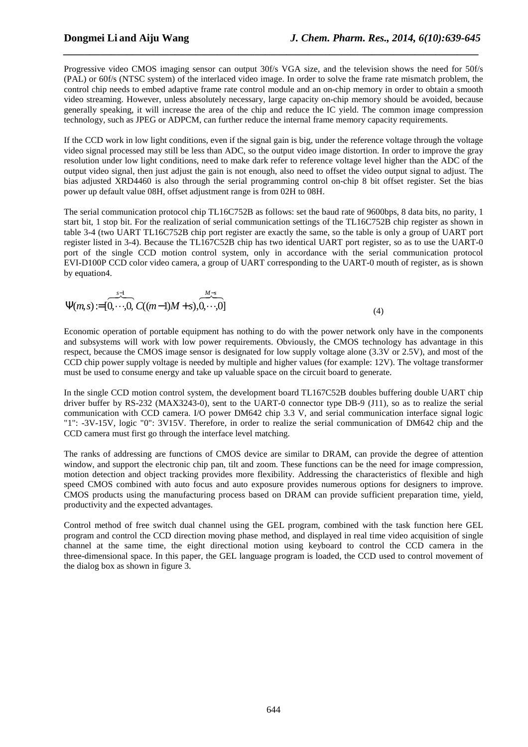Progressive video CMOS imaging sensor can output 30f/s VGA size, and the television shows the need for 50f/s (PAL) or 60f/s (NTSC system) of the interlaced video image. In order to solve the frame rate mismatch problem, the control chip needs to embed adaptive frame rate control module and an on-chip memory in order to obtain a smooth video streaming. However, unless absolutely necessary, large capacity on-chip memory should be avoided, because generally speaking, it will increase the area of the chip and reduce the IC yield. The common image compression technology, such as JPEG or ADPCM, can further reduce the internal frame memory capacity requirements.

*\_\_\_\_\_\_\_\_\_\_\_\_\_\_\_\_\_\_\_\_\_\_\_\_\_\_\_\_\_\_\_\_\_\_\_\_\_\_\_\_\_\_\_\_\_\_\_\_\_\_\_\_\_\_\_\_\_\_\_\_\_\_\_\_\_\_\_\_\_\_\_\_\_\_\_\_\_\_*

If the CCD work in low light conditions, even if the signal gain is big, under the reference voltage through the voltage video signal processed may still be less than ADC, so the output video image distortion. In order to improve the gray resolution under low light conditions, need to make dark refer to reference voltage level higher than the ADC of the output video signal, then just adjust the gain is not enough, also need to offset the video output signal to adjust. The bias adjusted XRD4460 is also through the serial programming control on-chip 8 bit offset register. Set the bias power up default value 08H, offset adjustment range is from 02H to 08H.

The serial communication protocol chip TL16C752B as follows: set the baud rate of 9600bps, 8 data bits, no parity, 1 start bit, 1 stop bit. For the realization of serial communication settings of the TL16C752B chip register as shown in table 3-4 (two UART TL16C752B chip port register are exactly the same, so the table is only a group of UART port register listed in 3-4). Because the TL167C52B chip has two identical UART port register, so as to use the UART-0 port of the single CCD motion control system, only in accordance with the serial communication protocol EVI-D100P CCD color video camera, a group of UART corresponding to the UART-0 mouth of register, as is shown by equation4.

$$
\Psi(m,s) := \overbrace{[0,\cdots,0]}^{s-1} C((m-1)M+s), \overbrace{0,\cdots,0}^{M-s}
$$
\n(4)

Economic operation of portable equipment has nothing to do with the power network only have in the components and subsystems will work with low power requirements. Obviously, the CMOS technology has advantage in this respect, because the CMOS image sensor is designated for low supply voltage alone (3.3V or 2.5V), and most of the CCD chip power supply voltage is needed by multiple and higher values (for example: 12V). The voltage transformer must be used to consume energy and take up valuable space on the circuit board to generate.

In the single CCD motion control system, the development board TL167C52B doubles buffering double UART chip driver buffer by RS-232 (MAX3243-0), sent to the UART-0 connector type DB-9 (J11), so as to realize the serial communication with CCD camera. I/O power DM642 chip 3.3 V, and serial communication interface signal logic "1": -3V-15V, logic "0": 3V15V. Therefore, in order to realize the serial communication of DM642 chip and the CCD camera must first go through the interface level matching.

The ranks of addressing are functions of CMOS device are similar to DRAM, can provide the degree of attention window, and support the electronic chip pan, tilt and zoom. These functions can be the need for image compression, motion detection and object tracking provides more flexibility. Addressing the characteristics of flexible and high speed CMOS combined with auto focus and auto exposure provides numerous options for designers to improve. CMOS products using the manufacturing process based on DRAM can provide sufficient preparation time, yield, productivity and the expected advantages.

Control method of free switch dual channel using the GEL program, combined with the task function here GEL program and control the CCD direction moving phase method, and displayed in real time video acquisition of single channel at the same time, the eight directional motion using keyboard to control the CCD camera in the three-dimensional space. In this paper, the GEL language program is loaded, the CCD used to control movement of the dialog box as shown in figure 3.